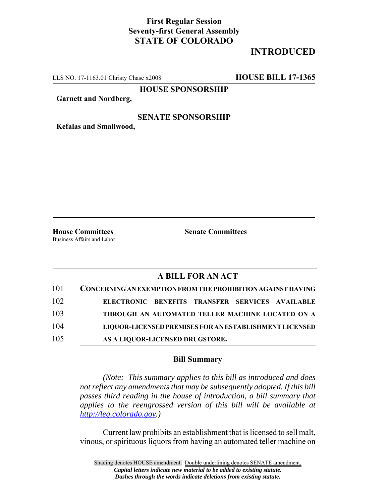## **First Regular Session Seventy-first General Assembly STATE OF COLORADO**

# **INTRODUCED**

LLS NO. 17-1163.01 Christy Chase x2008 **HOUSE BILL 17-1365**

**HOUSE SPONSORSHIP**

**Garnett and Nordberg,**

#### **SENATE SPONSORSHIP**

**Kefalas and Smallwood,**

Business Affairs and Labor

**House Committees Senate Committees**

## **A BILL FOR AN ACT**

| 101 | <b>CONCERNING AN EXEMPTION FROM THE PROHIBITION AGAINST HAVING</b> |
|-----|--------------------------------------------------------------------|
| 102 | ELECTRONIC BENEFITS TRANSFER SERVICES AVAILABLE                    |
| 103 | THROUGH AN AUTOMATED TELLER MACHINE LOCATED ON A                   |
| 104 | LIQUOR-LICENSED PREMISES FOR AN ESTABLISHMENT LICENSED             |
| 105 | AS A LIQUOR-LICENSED DRUGSTORE.                                    |

### **Bill Summary**

*(Note: This summary applies to this bill as introduced and does not reflect any amendments that may be subsequently adopted. If this bill passes third reading in the house of introduction, a bill summary that applies to the reengrossed version of this bill will be available at http://leg.colorado.gov.)*

Current law prohibits an establishment that is licensed to sell malt, vinous, or spirituous liquors from having an automated teller machine on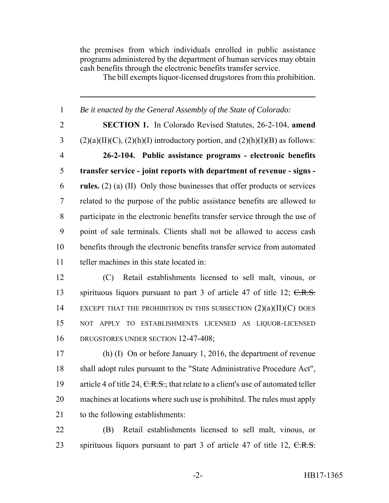the premises from which individuals enrolled in public assistance programs administered by the department of human services may obtain cash benefits through the electronic benefits transfer service.

The bill exempts liquor-licensed drugstores from this prohibition.

 *Be it enacted by the General Assembly of the State of Colorado:* **SECTION 1.** In Colorado Revised Statutes, 26-2-104, **amend** 3 (2)(a)(II)(C), (2)(h)(I) introductory portion, and (2)(h)(I)(B) as follows: **26-2-104. Public assistance programs - electronic benefits transfer service - joint reports with department of revenue - signs - rules.** (2) (a) (II) Only those businesses that offer products or services related to the purpose of the public assistance benefits are allowed to participate in the electronic benefits transfer service through the use of point of sale terminals. Clients shall not be allowed to access cash benefits through the electronic benefits transfer service from automated teller machines in this state located in: (C) Retail establishments licensed to sell malt, vinous, or 13 spirituous liquors pursuant to part 3 of article 47 of title 12; C.R.S. 14 EXCEPT THAT THE PROHIBITION IN THIS SUBSECTION  $(2)(a)(II)(C)$  DOES NOT APPLY TO ESTABLISHMENTS LICENSED AS LIQUOR-LICENSED 16 DRUGSTORES UNDER SECTION 12-47-408; (h) (I) On or before January 1, 2016, the department of revenue shall adopt rules pursuant to the "State Administrative Procedure Act", 19 article 4 of title 24,  $C.R.S.,$  that relate to a client's use of automated teller machines at locations where such use is prohibited. The rules must apply to the following establishments:

 (B) Retail establishments licensed to sell malt, vinous, or 23 spirituous liquors pursuant to part 3 of article 47 of title 12, C.R.S.